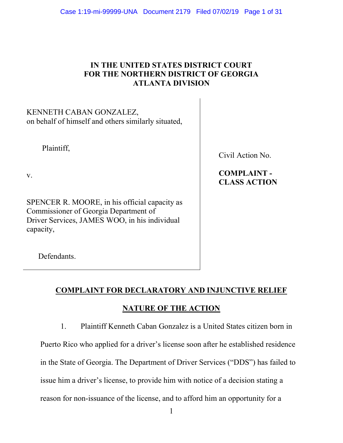## IN THE UNITED STATES DISTRICT COURT FOR THE NORTHERN DISTRICT OF GEORGIA ATLANTA DIVISION

## KENNETH CABAN GONZALEZ, on behalf of himself and others similarly situated,

Plaintiff,

Civil Action No.

 COMPLAINT - CLASS ACTION

v.

SPENCER R. MOORE, in his official capacity as Commissioner of Georgia Department of Driver Services, JAMES WOO, in his individual capacity,

Defendants.

# COMPLAINT FOR DECLARATORY AND INJUNCTIVE RELIEF

# NATURE OF THE ACTION

1. Plaintiff Kenneth Caban Gonzalez is a United States citizen born in

Puerto Rico who applied for a driver's license soon after he established residence in the State of Georgia. The Department of Driver Services ("DDS") has failed to issue him a driver's license, to provide him with notice of a decision stating a reason for non-issuance of the license, and to afford him an opportunity for a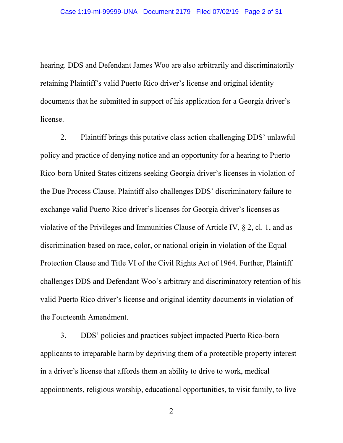hearing. DDS and Defendant James Woo are also arbitrarily and discriminatorily retaining Plaintiff's valid Puerto Rico driver's license and original identity documents that he submitted in support of his application for a Georgia driver's license.

 2. Plaintiff brings this putative class action challenging DDS' unlawful policy and practice of denying notice and an opportunity for a hearing to Puerto Rico-born United States citizens seeking Georgia driver's licenses in violation of the Due Process Clause. Plaintiff also challenges DDS' discriminatory failure to exchange valid Puerto Rico driver's licenses for Georgia driver's licenses as violative of the Privileges and Immunities Clause of Article IV, § 2, cl. 1, and as discrimination based on race, color, or national origin in violation of the Equal Protection Clause and Title VI of the Civil Rights Act of 1964. Further, Plaintiff challenges DDS and Defendant Woo's arbitrary and discriminatory retention of his valid Puerto Rico driver's license and original identity documents in violation of the Fourteenth Amendment.

 3. DDS' policies and practices subject impacted Puerto Rico-born applicants to irreparable harm by depriving them of a protectible property interest in a driver's license that affords them an ability to drive to work, medical appointments, religious worship, educational opportunities, to visit family, to live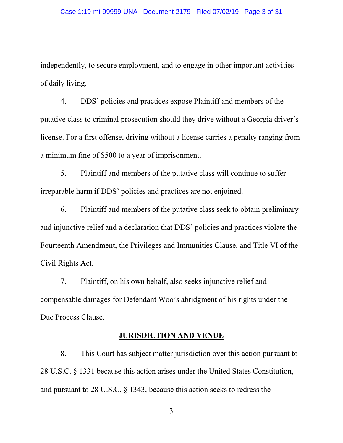independently, to secure employment, and to engage in other important activities of daily living.

 4. DDS' policies and practices expose Plaintiff and members of the putative class to criminal prosecution should they drive without a Georgia driver's license. For a first offense, driving without a license carries a penalty ranging from a minimum fine of \$500 to a year of imprisonment.

 5. Plaintiff and members of the putative class will continue to suffer irreparable harm if DDS' policies and practices are not enjoined.

 6. Plaintiff and members of the putative class seek to obtain preliminary and injunctive relief and a declaration that DDS' policies and practices violate the Fourteenth Amendment, the Privileges and Immunities Clause, and Title VI of the Civil Rights Act.

 7. Plaintiff, on his own behalf, also seeks injunctive relief and compensable damages for Defendant Woo's abridgment of his rights under the Due Process Clause.

#### JURISDICTION AND VENUE

 8. This Court has subject matter jurisdiction over this action pursuant to 28 U.S.C. § 1331 because this action arises under the United States Constitution, and pursuant to 28 U.S.C. § 1343, because this action seeks to redress the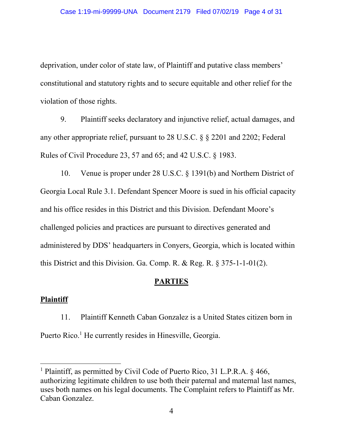deprivation, under color of state law, of Plaintiff and putative class members' constitutional and statutory rights and to secure equitable and other relief for the violation of those rights.

 9. Plaintiff seeks declaratory and injunctive relief, actual damages, and any other appropriate relief, pursuant to 28 U.S.C. § § 2201 and 2202; Federal Rules of Civil Procedure 23, 57 and 65; and 42 U.S.C. § 1983.

 10. Venue is proper under 28 U.S.C. § 1391(b) and Northern District of Georgia Local Rule 3.1. Defendant Spencer Moore is sued in his official capacity and his office resides in this District and this Division. Defendant Moore's challenged policies and practices are pursuant to directives generated and administered by DDS' headquarters in Conyers, Georgia, which is located within this District and this Division. Ga. Comp. R. & Reg. R. § 375-1-1-01(2).

#### **PARTIES**

#### Plaintiff

 11. Plaintiff Kenneth Caban Gonzalez is a United States citizen born in Puerto Rico.<sup>1</sup> He currently resides in Hinesville, Georgia.

<sup>&</sup>lt;sup>1</sup> Plaintiff, as permitted by Civil Code of Puerto Rico, 31 L.P.R.A. § 466, authorizing legitimate children to use both their paternal and maternal last names, uses both names on his legal documents. The Complaint refers to Plaintiff as Mr. Caban Gonzalez.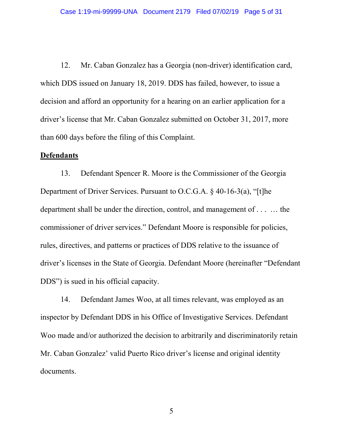12. Mr. Caban Gonzalez has a Georgia (non-driver) identification card, which DDS issued on January 18, 2019. DDS has failed, however, to issue a decision and afford an opportunity for a hearing on an earlier application for a driver's license that Mr. Caban Gonzalez submitted on October 31, 2017, more than 600 days before the filing of this Complaint.

#### Defendants

 13. Defendant Spencer R. Moore is the Commissioner of the Georgia Department of Driver Services. Pursuant to O.C.G.A. § 40-16-3(a), "[t]he department shall be under the direction, control, and management of . . . … the commissioner of driver services." Defendant Moore is responsible for policies, rules, directives, and patterns or practices of DDS relative to the issuance of driver's licenses in the State of Georgia. Defendant Moore (hereinafter "Defendant DDS") is sued in his official capacity.

 14. Defendant James Woo, at all times relevant, was employed as an inspector by Defendant DDS in his Office of Investigative Services. Defendant Woo made and/or authorized the decision to arbitrarily and discriminatorily retain Mr. Caban Gonzalez' valid Puerto Rico driver's license and original identity documents.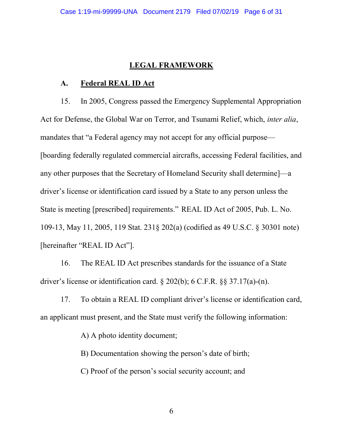#### LEGAL FRAMEWORK

#### A. Federal REAL ID Act

 15. In 2005, Congress passed the Emergency Supplemental Appropriation Act for Defense, the Global War on Terror, and Tsunami Relief, which, inter alia, mandates that "a Federal agency may not accept for any official purpose— [boarding federally regulated commercial aircrafts, accessing Federal facilities, and any other purposes that the Secretary of Homeland Security shall determine]—a driver's license or identification card issued by a State to any person unless the State is meeting [prescribed] requirements." REAL ID Act of 2005, Pub. L. No. 109-13, May 11, 2005, 119 Stat. 231§ 202(a) (codified as 49 U.S.C. § 30301 note) [hereinafter "REAL ID Act"].

 16. The REAL ID Act prescribes standards for the issuance of a State driver's license or identification card. § 202(b); 6 C.F.R. §§ 37.17(a)-(n).

 17. To obtain a REAL ID compliant driver's license or identification card, an applicant must present, and the State must verify the following information:

A) A photo identity document;

B) Documentation showing the person's date of birth;

C) Proof of the person's social security account; and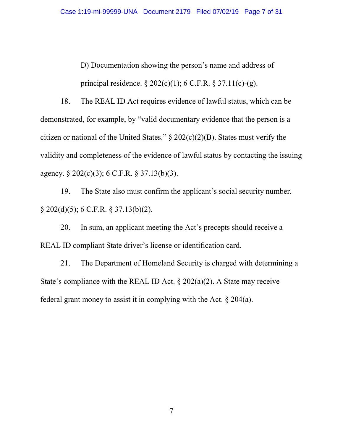D) Documentation showing the person's name and address of principal residence.  $\S 202(c)(1)$ ; 6 C.F.R.  $\S 37.11(c)-(g)$ .

 18. The REAL ID Act requires evidence of lawful status, which can be demonstrated, for example, by "valid documentary evidence that the person is a citizen or national of the United States."  $\S 202(c)(2)(B)$ . States must verify the validity and completeness of the evidence of lawful status by contacting the issuing agency. § 202(c)(3); 6 C.F.R. § 37.13(b)(3).

19. The State also must confirm the applicant's social security number. § 202(d)(5); 6 C.F.R. § 37.13(b)(2).

20. In sum, an applicant meeting the Act's precepts should receive a REAL ID compliant State driver's license or identification card.

21. The Department of Homeland Security is charged with determining a State's compliance with the REAL ID Act.  $\S 202(a)(2)$ . A State may receive federal grant money to assist it in complying with the Act. § 204(a).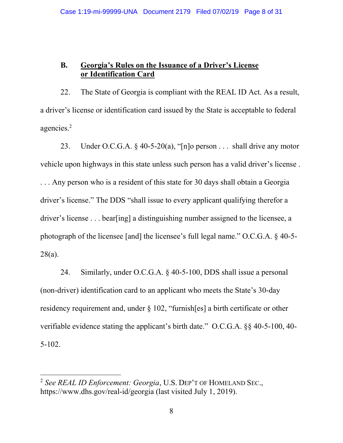## B. Georgia's Rules on the Issuance of a Driver's License or Identification Card

 22. The State of Georgia is compliant with the REAL ID Act. As a result, a driver's license or identification card issued by the State is acceptable to federal agencies.<sup>2</sup>

23. Under O.C.G.A.  $\S$  40-5-20(a), "[n]o person ... shall drive any motor vehicle upon highways in this state unless such person has a valid driver's license . . . . Any person who is a resident of this state for 30 days shall obtain a Georgia driver's license." The DDS "shall issue to every applicant qualifying therefor a driver's license . . . bear[ing] a distinguishing number assigned to the licensee, a photograph of the licensee [and] the licensee's full legal name." O.C.G.A. § 40-5- 28(a).

 24. Similarly, under O.C.G.A. § 40-5-100, DDS shall issue a personal (non-driver) identification card to an applicant who meets the State's 30-day residency requirement and, under § 102, "furnish[es] a birth certificate or other verifiable evidence stating the applicant's birth date." O.C.G.A. §§ 40-5-100, 40- 5-102.

 $\overline{a}$ 

<sup>&</sup>lt;sup>2</sup> See REAL ID Enforcement: Georgia, U.S. DEP'T OF HOMELAND SEC., https://www.dhs.gov/real-id/georgia (last visited July 1, 2019).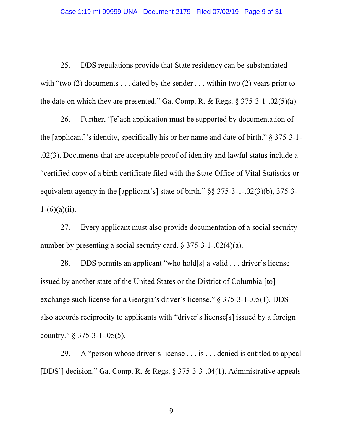25. DDS regulations provide that State residency can be substantiated with "two  $(2)$  documents ... dated by the sender ... within two  $(2)$  years prior to the date on which they are presented." Ga. Comp. R. & Regs.  $\S 375-3-1-.02(5)(a)$ .

26. Further, "[e]ach application must be supported by documentation of the [applicant]'s identity, specifically his or her name and date of birth." § 375-3-1- .02(3). Documents that are acceptable proof of identity and lawful status include a "certified copy of a birth certificate filed with the State Office of Vital Statistics or equivalent agency in the [applicant's] state of birth." §§ 375-3-1-.02(3)(b), 375-3-  $1-(6)(a)(ii)$ .

27. Every applicant must also provide documentation of a social security number by presenting a social security card.  $\S 375-3-1-.02(4)(a)$ .

28. DDS permits an applicant "who hold[s] a valid . . . driver's license issued by another state of the United States or the District of Columbia [to] exchange such license for a Georgia's driver's license." § 375-3-1-.05(1). DDS also accords reciprocity to applicants with "driver's license[s] issued by a foreign country." § 375-3-1-.05(5).

29. A "person whose driver's license . . . is . . . denied is entitled to appeal [DDS'] decision." Ga. Comp. R. & Regs. § 375-3-3-.04(1). Administrative appeals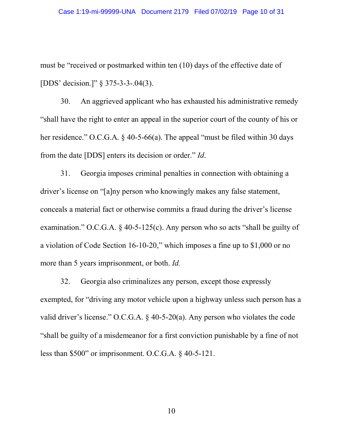must be "received or postmarked within ten (10) days of the effective date of [DDS' decision.]" § 375-3-3-.04(3).

30. An aggrieved applicant who has exhausted his administrative remedy "shall have the right to enter an appeal in the superior court of the county of his or her residence." O.C.G.A. § 40-5-66(a). The appeal "must be filed within 30 days from the date [DDS] enters its decision or order." Id.

 31. Georgia imposes criminal penalties in connection with obtaining a driver's license on "[a]ny person who knowingly makes any false statement, conceals a material fact or otherwise commits a fraud during the driver's license examination." O.C.G.A. § 40-5-125(c). Any person who so acts "shall be guilty of a violation of Code Section 16-10-20," which imposes a fine up to \$1,000 or no more than 5 years imprisonment, or both. *Id.* 

 32. Georgia also criminalizes any person, except those expressly exempted, for "driving any motor vehicle upon a highway unless such person has a valid driver's license." O.C.G.A. § 40-5-20(a). Any person who violates the code "shall be guilty of a misdemeanor for a first conviction punishable by a fine of not less than \$500" or imprisonment. O.C.G.A. § 40-5-121.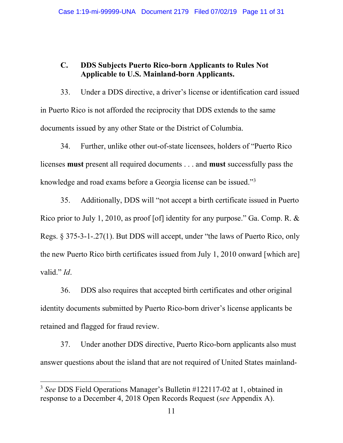## C. DDS Subjects Puerto Rico-born Applicants to Rules Not Applicable to U.S. Mainland-born Applicants.

33. Under a DDS directive, a driver's license or identification card issued in Puerto Rico is not afforded the reciprocity that DDS extends to the same documents issued by any other State or the District of Columbia.

34. Further, unlike other out-of-state licensees, holders of "Puerto Rico licenses must present all required documents . . . and must successfully pass the knowledge and road exams before a Georgia license can be issued."<sup>3</sup>

35. Additionally, DDS will "not accept a birth certificate issued in Puerto Rico prior to July 1, 2010, as proof [of] identity for any purpose." Ga. Comp. R. & Regs. § 375-3-1-.27(1). But DDS will accept, under "the laws of Puerto Rico, only the new Puerto Rico birth certificates issued from July 1, 2010 onward [which are] valid." *Id.* 

36. DDS also requires that accepted birth certificates and other original identity documents submitted by Puerto Rico-born driver's license applicants be retained and flagged for fraud review.

37. Under another DDS directive, Puerto Rico-born applicants also must answer questions about the island that are not required of United States mainland-

<sup>&</sup>lt;sup>3</sup> See DDS Field Operations Manager's Bulletin #122117-02 at 1, obtained in response to a December 4, 2018 Open Records Request (see Appendix A).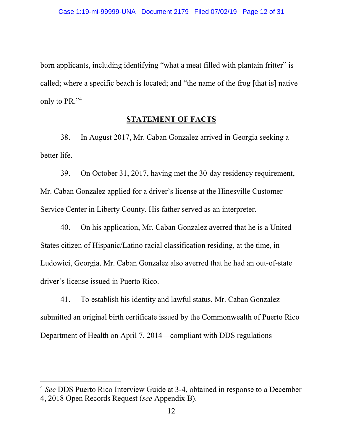born applicants, including identifying "what a meat filled with plantain fritter" is called; where a specific beach is located; and "the name of the frog [that is] native only to PR." $4$ 

### **STATEMENT OF FACTS**

 38. In August 2017, Mr. Caban Gonzalez arrived in Georgia seeking a better life.

 39. On October 31, 2017, having met the 30-day residency requirement, Mr. Caban Gonzalez applied for a driver's license at the Hinesville Customer Service Center in Liberty County. His father served as an interpreter.

 40. On his application, Mr. Caban Gonzalez averred that he is a United States citizen of Hispanic/Latino racial classification residing, at the time, in Ludowici, Georgia. Mr. Caban Gonzalez also averred that he had an out-of-state driver's license issued in Puerto Rico.

 41. To establish his identity and lawful status, Mr. Caban Gonzalez submitted an original birth certificate issued by the Commonwealth of Puerto Rico Department of Health on April 7, 2014—compliant with DDS regulations

<sup>&</sup>lt;sup>4</sup> See DDS Puerto Rico Interview Guide at 3-4, obtained in response to a December 4, 2018 Open Records Request (see Appendix B).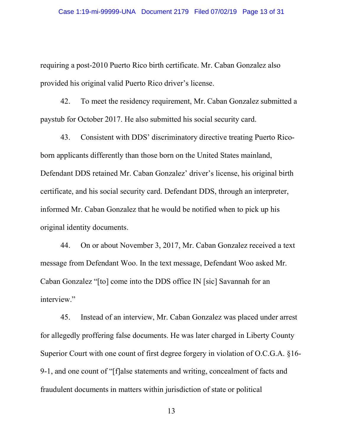requiring a post-2010 Puerto Rico birth certificate. Mr. Caban Gonzalez also provided his original valid Puerto Rico driver's license.

 42. To meet the residency requirement, Mr. Caban Gonzalez submitted a paystub for October 2017. He also submitted his social security card.

 43. Consistent with DDS' discriminatory directive treating Puerto Ricoborn applicants differently than those born on the United States mainland, Defendant DDS retained Mr. Caban Gonzalez' driver's license, his original birth certificate, and his social security card. Defendant DDS, through an interpreter, informed Mr. Caban Gonzalez that he would be notified when to pick up his original identity documents.

 44. On or about November 3, 2017, Mr. Caban Gonzalez received a text message from Defendant Woo. In the text message, Defendant Woo asked Mr. Caban Gonzalez "[to] come into the DDS office IN [sic] Savannah for an interview."

 45. Instead of an interview, Mr. Caban Gonzalez was placed under arrest for allegedly proffering false documents. He was later charged in Liberty County Superior Court with one count of first degree forgery in violation of O.C.G.A. §16- 9-1, and one count of "[f]alse statements and writing, concealment of facts and fraudulent documents in matters within jurisdiction of state or political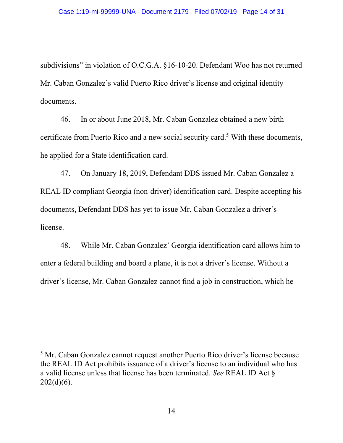subdivisions" in violation of O.C.G.A. §16-10-20. Defendant Woo has not returned Mr. Caban Gonzalez's valid Puerto Rico driver's license and original identity documents.

 46. In or about June 2018, Mr. Caban Gonzalez obtained a new birth certificate from Puerto Rico and a new social security card.<sup>5</sup> With these documents, he applied for a State identification card.

 47. On January 18, 2019, Defendant DDS issued Mr. Caban Gonzalez a REAL ID compliant Georgia (non-driver) identification card. Despite accepting his documents, Defendant DDS has yet to issue Mr. Caban Gonzalez a driver's license.

 48. While Mr. Caban Gonzalez' Georgia identification card allows him to enter a federal building and board a plane, it is not a driver's license. Without a driver's license, Mr. Caban Gonzalez cannot find a job in construction, which he

<sup>&</sup>lt;sup>5</sup> Mr. Caban Gonzalez cannot request another Puerto Rico driver's license because the REAL ID Act prohibits issuance of a driver's license to an individual who has a valid license unless that license has been terminated. See REAL ID Act §  $202(d)(6)$ .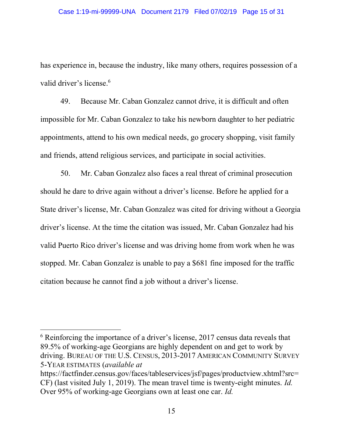has experience in, because the industry, like many others, requires possession of a valid driver's license.<sup>6</sup>

 49. Because Mr. Caban Gonzalez cannot drive, it is difficult and often impossible for Mr. Caban Gonzalez to take his newborn daughter to her pediatric appointments, attend to his own medical needs, go grocery shopping, visit family and friends, attend religious services, and participate in social activities.

 50. Mr. Caban Gonzalez also faces a real threat of criminal prosecution should he dare to drive again without a driver's license. Before he applied for a State driver's license, Mr. Caban Gonzalez was cited for driving without a Georgia driver's license. At the time the citation was issued, Mr. Caban Gonzalez had his valid Puerto Rico driver's license and was driving home from work when he was stopped. Mr. Caban Gonzalez is unable to pay a \$681 fine imposed for the traffic citation because he cannot find a job without a driver's license.

<sup>6</sup> Reinforcing the importance of a driver's license, 2017 census data reveals that 89.5% of working-age Georgians are highly dependent on and get to work by driving. BUREAU OF THE U.S. CENSUS, 2013-2017 AMERICAN COMMUNITY SURVEY 5-YEAR ESTIMATES (available at

 $\overline{a}$ 

https://factfinder.census.gov/faces/tableservices/jsf/pages/productview.xhtml?src= CF) (last visited July 1, 2019). The mean travel time is twenty-eight minutes. Id. Over 95% of working-age Georgians own at least one car. Id.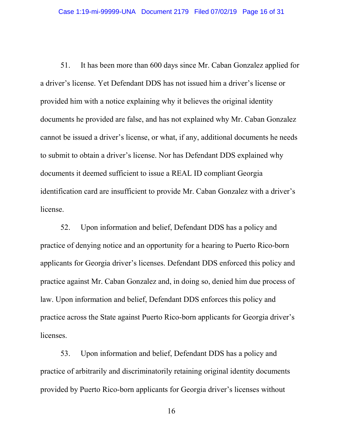51. It has been more than 600 days since Mr. Caban Gonzalez applied for a driver's license. Yet Defendant DDS has not issued him a driver's license or provided him with a notice explaining why it believes the original identity documents he provided are false, and has not explained why Mr. Caban Gonzalez cannot be issued a driver's license, or what, if any, additional documents he needs to submit to obtain a driver's license. Nor has Defendant DDS explained why documents it deemed sufficient to issue a REAL ID compliant Georgia identification card are insufficient to provide Mr. Caban Gonzalez with a driver's license.

 52. Upon information and belief, Defendant DDS has a policy and practice of denying notice and an opportunity for a hearing to Puerto Rico-born applicants for Georgia driver's licenses. Defendant DDS enforced this policy and practice against Mr. Caban Gonzalez and, in doing so, denied him due process of law. Upon information and belief, Defendant DDS enforces this policy and practice across the State against Puerto Rico-born applicants for Georgia driver's licenses.

 53. Upon information and belief, Defendant DDS has a policy and practice of arbitrarily and discriminatorily retaining original identity documents provided by Puerto Rico-born applicants for Georgia driver's licenses without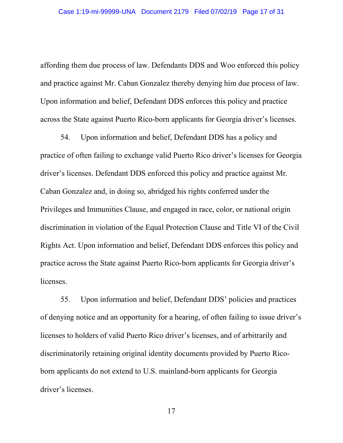affording them due process of law. Defendants DDS and Woo enforced this policy and practice against Mr. Caban Gonzalez thereby denying him due process of law. Upon information and belief, Defendant DDS enforces this policy and practice across the State against Puerto Rico-born applicants for Georgia driver's licenses.

 54. Upon information and belief, Defendant DDS has a policy and practice of often failing to exchange valid Puerto Rico driver's licenses for Georgia driver's licenses. Defendant DDS enforced this policy and practice against Mr. Caban Gonzalez and, in doing so, abridged his rights conferred under the Privileges and Immunities Clause, and engaged in race, color, or national origin discrimination in violation of the Equal Protection Clause and Title VI of the Civil Rights Act. Upon information and belief, Defendant DDS enforces this policy and practice across the State against Puerto Rico-born applicants for Georgia driver's licenses.

 55. Upon information and belief, Defendant DDS' policies and practices of denying notice and an opportunity for a hearing, of often failing to issue driver's licenses to holders of valid Puerto Rico driver's licenses, and of arbitrarily and discriminatorily retaining original identity documents provided by Puerto Ricoborn applicants do not extend to U.S. mainland-born applicants for Georgia driver's licenses.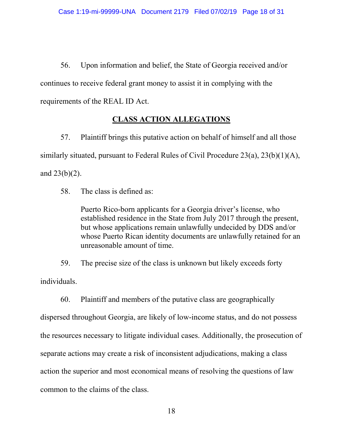56. Upon information and belief, the State of Georgia received and/or continues to receive federal grant money to assist it in complying with the requirements of the REAL ID Act.

# CLASS ACTION ALLEGATIONS

 57. Plaintiff brings this putative action on behalf of himself and all those similarly situated, pursuant to Federal Rules of Civil Procedure 23(a), 23(b)(1)(A), and  $23(b)(2)$ .

58. The class is defined as:

 Puerto Rico-born applicants for a Georgia driver's license, who established residence in the State from July 2017 through the present, but whose applications remain unlawfully undecided by DDS and/or whose Puerto Rican identity documents are unlawfully retained for an unreasonable amount of time.

 59. The precise size of the class is unknown but likely exceeds forty individuals.

 60. Plaintiff and members of the putative class are geographically dispersed throughout Georgia, are likely of low-income status, and do not possess the resources necessary to litigate individual cases. Additionally, the prosecution of separate actions may create a risk of inconsistent adjudications, making a class action the superior and most economical means of resolving the questions of law common to the claims of the class.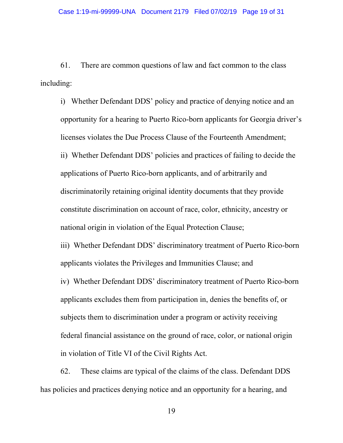61. There are common questions of law and fact common to the class including:

 i) Whether Defendant DDS' policy and practice of denying notice and an opportunity for a hearing to Puerto Rico-born applicants for Georgia driver's licenses violates the Due Process Clause of the Fourteenth Amendment; ii) Whether Defendant DDS' policies and practices of failing to decide the applications of Puerto Rico-born applicants, and of arbitrarily and discriminatorily retaining original identity documents that they provide constitute discrimination on account of race, color, ethnicity, ancestry or national origin in violation of the Equal Protection Clause; iii) Whether Defendant DDS' discriminatory treatment of Puerto Rico-born

applicants violates the Privileges and Immunities Clause; and

 iv) Whether Defendant DDS' discriminatory treatment of Puerto Rico-born applicants excludes them from participation in, denies the benefits of, or subjects them to discrimination under a program or activity receiving federal financial assistance on the ground of race, color, or national origin in violation of Title VI of the Civil Rights Act.

 62. These claims are typical of the claims of the class. Defendant DDS has policies and practices denying notice and an opportunity for a hearing, and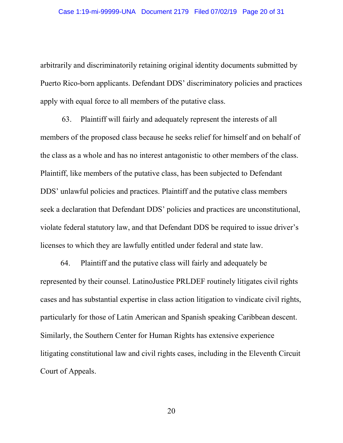arbitrarily and discriminatorily retaining original identity documents submitted by Puerto Rico-born applicants. Defendant DDS' discriminatory policies and practices apply with equal force to all members of the putative class.

 63. Plaintiff will fairly and adequately represent the interests of all members of the proposed class because he seeks relief for himself and on behalf of the class as a whole and has no interest antagonistic to other members of the class. Plaintiff, like members of the putative class, has been subjected to Defendant DDS' unlawful policies and practices. Plaintiff and the putative class members seek a declaration that Defendant DDS' policies and practices are unconstitutional, violate federal statutory law, and that Defendant DDS be required to issue driver's licenses to which they are lawfully entitled under federal and state law.

 64. Plaintiff and the putative class will fairly and adequately be represented by their counsel. LatinoJustice PRLDEF routinely litigates civil rights cases and has substantial expertise in class action litigation to vindicate civil rights, particularly for those of Latin American and Spanish speaking Caribbean descent. Similarly, the Southern Center for Human Rights has extensive experience litigating constitutional law and civil rights cases, including in the Eleventh Circuit Court of Appeals.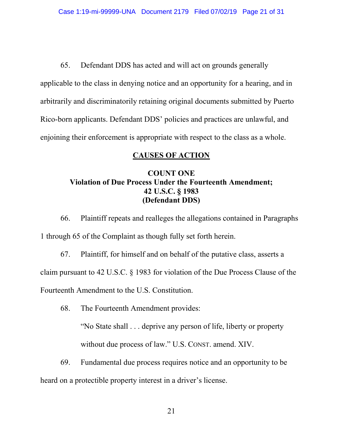65. Defendant DDS has acted and will act on grounds generally applicable to the class in denying notice and an opportunity for a hearing, and in arbitrarily and discriminatorily retaining original documents submitted by Puerto Rico-born applicants. Defendant DDS' policies and practices are unlawful, and enjoining their enforcement is appropriate with respect to the class as a whole.

### CAUSES OF ACTION

## COUNT ONE Violation of Due Process Under the Fourteenth Amendment; 42 U.S.C. § 1983 (Defendant DDS)

 66. Plaintiff repeats and realleges the allegations contained in Paragraphs 1 through 65 of the Complaint as though fully set forth herein.

 67. Plaintiff, for himself and on behalf of the putative class, asserts a claim pursuant to 42 U.S.C. § 1983 for violation of the Due Process Clause of the Fourteenth Amendment to the U.S. Constitution.

68. The Fourteenth Amendment provides:

 "No State shall . . . deprive any person of life, liberty or property without due process of law." U.S. CONST. amend. XIV.

 69. Fundamental due process requires notice and an opportunity to be heard on a protectible property interest in a driver's license.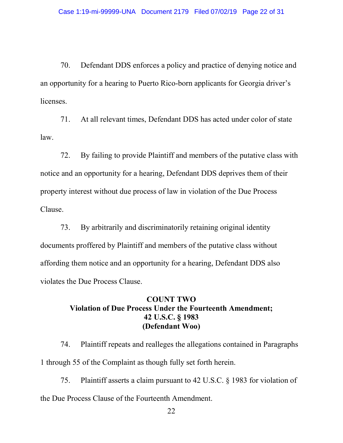70. Defendant DDS enforces a policy and practice of denying notice and an opportunity for a hearing to Puerto Rico-born applicants for Georgia driver's licenses.

 71. At all relevant times, Defendant DDS has acted under color of state law.

 72. By failing to provide Plaintiff and members of the putative class with notice and an opportunity for a hearing, Defendant DDS deprives them of their property interest without due process of law in violation of the Due Process Clause.

 73. By arbitrarily and discriminatorily retaining original identity documents proffered by Plaintiff and members of the putative class without affording them notice and an opportunity for a hearing, Defendant DDS also violates the Due Process Clause.

### COUNT TWO Violation of Due Process Under the Fourteenth Amendment; 42 U.S.C. § 1983 (Defendant Woo)

 74. Plaintiff repeats and realleges the allegations contained in Paragraphs 1 through 55 of the Complaint as though fully set forth herein.

 75. Plaintiff asserts a claim pursuant to 42 U.S.C. § 1983 for violation of the Due Process Clause of the Fourteenth Amendment.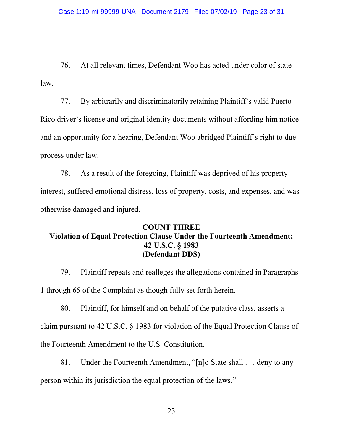76. At all relevant times, Defendant Woo has acted under color of state law.

 77. By arbitrarily and discriminatorily retaining Plaintiff's valid Puerto Rico driver's license and original identity documents without affording him notice and an opportunity for a hearing, Defendant Woo abridged Plaintiff's right to due process under law.

 78. As a result of the foregoing, Plaintiff was deprived of his property interest, suffered emotional distress, loss of property, costs, and expenses, and was otherwise damaged and injured.

### COUNT THREE Violation of Equal Protection Clause Under the Fourteenth Amendment; 42 U.S.C. § 1983 (Defendant DDS)

 79. Plaintiff repeats and realleges the allegations contained in Paragraphs 1 through 65 of the Complaint as though fully set forth herein.

 80. Plaintiff, for himself and on behalf of the putative class, asserts a claim pursuant to 42 U.S.C. § 1983 for violation of the Equal Protection Clause of the Fourteenth Amendment to the U.S. Constitution.

 81. Under the Fourteenth Amendment, "[n]o State shall . . . deny to any person within its jurisdiction the equal protection of the laws."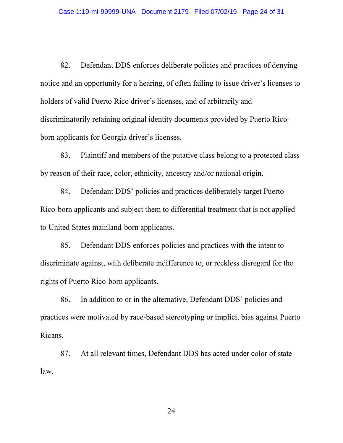82. Defendant DDS enforces deliberate policies and practices of denying notice and an opportunity for a hearing, of often failing to issue driver's licenses to holders of valid Puerto Rico driver's licenses, and of arbitrarily and discriminatorily retaining original identity documents provided by Puerto Ricoborn applicants for Georgia driver's licenses.

 83. Plaintiff and members of the putative class belong to a protected class by reason of their race, color, ethnicity, ancestry and/or national origin.

 84. Defendant DDS' policies and practices deliberately target Puerto Rico-born applicants and subject them to differential treatment that is not applied to United States mainland-born applicants.

 85. Defendant DDS enforces policies and practices with the intent to discriminate against, with deliberate indifference to, or reckless disregard for the rights of Puerto Rico-born applicants.

 86. In addition to or in the alternative, Defendant DDS' policies and practices were motivated by race-based stereotyping or implicit bias against Puerto Ricans.

 87. At all relevant times, Defendant DDS has acted under color of state law.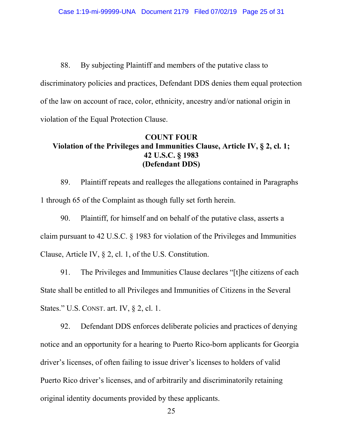88. By subjecting Plaintiff and members of the putative class to discriminatory policies and practices, Defendant DDS denies them equal protection of the law on account of race, color, ethnicity, ancestry and/or national origin in violation of the Equal Protection Clause.

### COUNT FOUR Violation of the Privileges and Immunities Clause, Article IV, § 2, cl. 1; 42 U.S.C. § 1983 (Defendant DDS)

 89. Plaintiff repeats and realleges the allegations contained in Paragraphs 1 through 65 of the Complaint as though fully set forth herein.

 90. Plaintiff, for himself and on behalf of the putative class, asserts a claim pursuant to 42 U.S.C. § 1983 for violation of the Privileges and Immunities Clause, Article IV, § 2, cl. 1, of the U.S. Constitution.

 91. The Privileges and Immunities Clause declares "[t]he citizens of each State shall be entitled to all Privileges and Immunities of Citizens in the Several States." U.S. CONST. art. IV, § 2, cl. 1.

 92. Defendant DDS enforces deliberate policies and practices of denying notice and an opportunity for a hearing to Puerto Rico-born applicants for Georgia driver's licenses, of often failing to issue driver's licenses to holders of valid Puerto Rico driver's licenses, and of arbitrarily and discriminatorily retaining original identity documents provided by these applicants.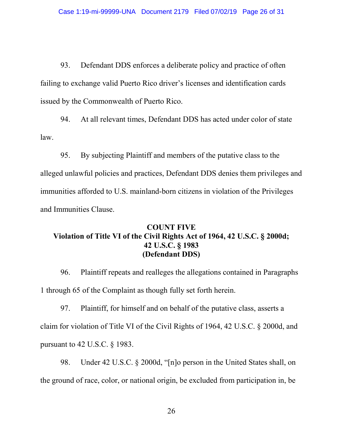93. Defendant DDS enforces a deliberate policy and practice of often failing to exchange valid Puerto Rico driver's licenses and identification cards issued by the Commonwealth of Puerto Rico.

 94. At all relevant times, Defendant DDS has acted under color of state law.

 95. By subjecting Plaintiff and members of the putative class to the alleged unlawful policies and practices, Defendant DDS denies them privileges and immunities afforded to U.S. mainland-born citizens in violation of the Privileges and Immunities Clause.

## COUNT FIVE Violation of Title VI of the Civil Rights Act of 1964, 42 U.S.C. § 2000d; 42 U.S.C. § 1983 (Defendant DDS)

 96. Plaintiff repeats and realleges the allegations contained in Paragraphs 1 through 65 of the Complaint as though fully set forth herein.

 97. Plaintiff, for himself and on behalf of the putative class, asserts a claim for violation of Title VI of the Civil Rights of 1964, 42 U.S.C. § 2000d, and pursuant to 42 U.S.C. § 1983.

 98. Under 42 U.S.C. § 2000d, "[n]o person in the United States shall, on the ground of race, color, or national origin, be excluded from participation in, be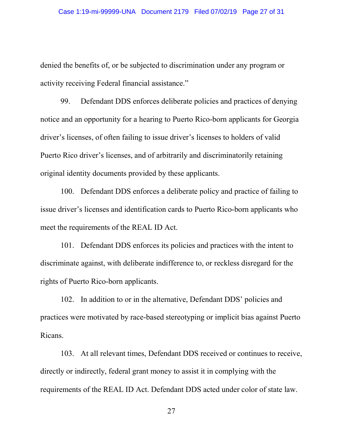denied the benefits of, or be subjected to discrimination under any program or activity receiving Federal financial assistance."

 99. Defendant DDS enforces deliberate policies and practices of denying notice and an opportunity for a hearing to Puerto Rico-born applicants for Georgia driver's licenses, of often failing to issue driver's licenses to holders of valid Puerto Rico driver's licenses, and of arbitrarily and discriminatorily retaining original identity documents provided by these applicants.

 100. Defendant DDS enforces a deliberate policy and practice of failing to issue driver's licenses and identification cards to Puerto Rico-born applicants who meet the requirements of the REAL ID Act.

 101. Defendant DDS enforces its policies and practices with the intent to discriminate against, with deliberate indifference to, or reckless disregard for the rights of Puerto Rico-born applicants.

 102. In addition to or in the alternative, Defendant DDS' policies and practices were motivated by race-based stereotyping or implicit bias against Puerto Ricans.

 103. At all relevant times, Defendant DDS received or continues to receive, directly or indirectly, federal grant money to assist it in complying with the requirements of the REAL ID Act. Defendant DDS acted under color of state law.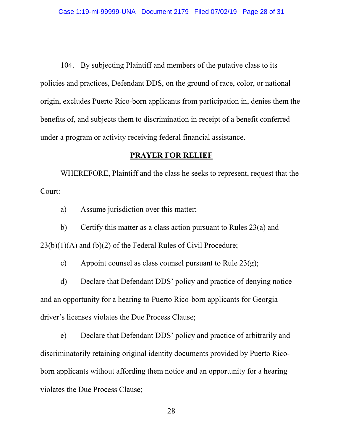104. By subjecting Plaintiff and members of the putative class to its policies and practices, Defendant DDS, on the ground of race, color, or national origin, excludes Puerto Rico-born applicants from participation in, denies them the benefits of, and subjects them to discrimination in receipt of a benefit conferred under a program or activity receiving federal financial assistance.

#### PRAYER FOR RELIEF

 WHEREFORE, Plaintiff and the class he seeks to represent, request that the Court:

a) Assume jurisdiction over this matter;

 b) Certify this matter as a class action pursuant to Rules 23(a) and  $23(b)(1)(A)$  and  $(b)(2)$  of the Federal Rules of Civil Procedure;

c) Appoint counsel as class counsel pursuant to Rule 23(g);

 d) Declare that Defendant DDS' policy and practice of denying notice and an opportunity for a hearing to Puerto Rico-born applicants for Georgia driver's licenses violates the Due Process Clause;

 e) Declare that Defendant DDS' policy and practice of arbitrarily and discriminatorily retaining original identity documents provided by Puerto Ricoborn applicants without affording them notice and an opportunity for a hearing violates the Due Process Clause;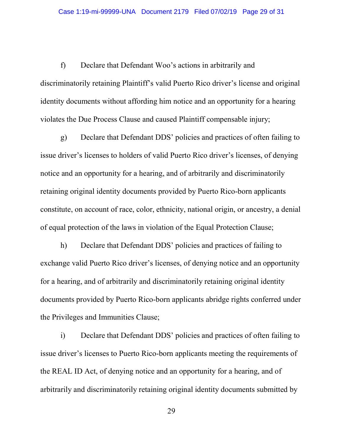f) Declare that Defendant Woo's actions in arbitrarily and discriminatorily retaining Plaintiff's valid Puerto Rico driver's license and original identity documents without affording him notice and an opportunity for a hearing violates the Due Process Clause and caused Plaintiff compensable injury;

 g) Declare that Defendant DDS' policies and practices of often failing to issue driver's licenses to holders of valid Puerto Rico driver's licenses, of denying notice and an opportunity for a hearing, and of arbitrarily and discriminatorily retaining original identity documents provided by Puerto Rico-born applicants constitute, on account of race, color, ethnicity, national origin, or ancestry, a denial of equal protection of the laws in violation of the Equal Protection Clause;

 h) Declare that Defendant DDS' policies and practices of failing to exchange valid Puerto Rico driver's licenses, of denying notice and an opportunity for a hearing, and of arbitrarily and discriminatorily retaining original identity documents provided by Puerto Rico-born applicants abridge rights conferred under the Privileges and Immunities Clause;

 i) Declare that Defendant DDS' policies and practices of often failing to issue driver's licenses to Puerto Rico-born applicants meeting the requirements of the REAL ID Act, of denying notice and an opportunity for a hearing, and of arbitrarily and discriminatorily retaining original identity documents submitted by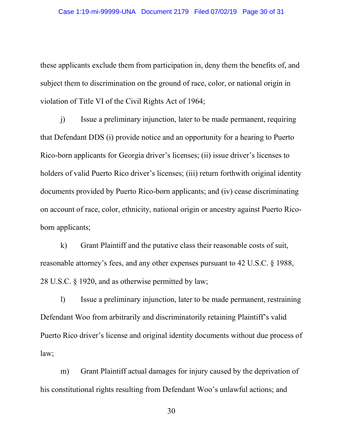these applicants exclude them from participation in, deny them the benefits of, and subject them to discrimination on the ground of race, color, or national origin in violation of Title VI of the Civil Rights Act of 1964;

 j) Issue a preliminary injunction, later to be made permanent, requiring that Defendant DDS (i) provide notice and an opportunity for a hearing to Puerto Rico-born applicants for Georgia driver's licenses; (ii) issue driver's licenses to holders of valid Puerto Rico driver's licenses; (iii) return forthwith original identity documents provided by Puerto Rico-born applicants; and (iv) cease discriminating on account of race, color, ethnicity, national origin or ancestry against Puerto Ricoborn applicants;

 k) Grant Plaintiff and the putative class their reasonable costs of suit, reasonable attorney's fees, and any other expenses pursuant to 42 U.S.C. § 1988, 28 U.S.C. § 1920, and as otherwise permitted by law;

 l) Issue a preliminary injunction, later to be made permanent, restraining Defendant Woo from arbitrarily and discriminatorily retaining Plaintiff's valid Puerto Rico driver's license and original identity documents without due process of law;

 m) Grant Plaintiff actual damages for injury caused by the deprivation of his constitutional rights resulting from Defendant Woo's unlawful actions; and